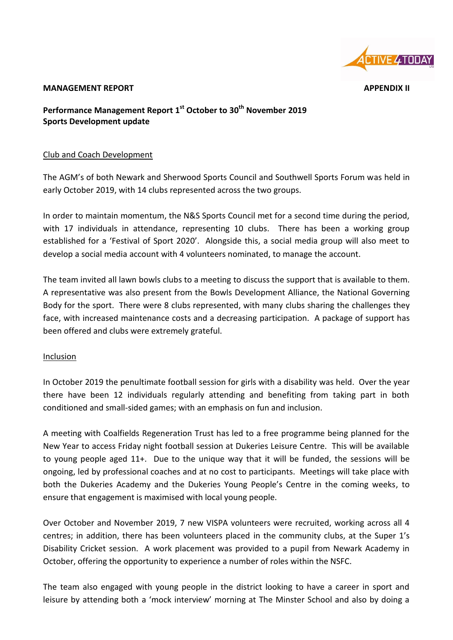

## **MANAGEMENT REPORT APPENDIX II**

**Performance Management Report 1 st October to 30 th November 2019 Sports Development update**

## Club and Coach Development

The AGM's of both Newark and Sherwood Sports Council and Southwell Sports Forum was held in early October 2019, with 14 clubs represented across the two groups.

In order to maintain momentum, the N&S Sports Council met for a second time during the period, with 17 individuals in attendance, representing 10 clubs. There has been a working group established for a 'Festival of Sport 2020'. Alongside this, a social media group will also meet to develop a social media account with 4 volunteers nominated, to manage the account.

The team invited all lawn bowls clubs to a meeting to discuss the support that is available to them. A representative was also present from the Bowls Development Alliance, the National Governing Body for the sport. There were 8 clubs represented, with many clubs sharing the challenges they face, with increased maintenance costs and a decreasing participation. A package of support has been offered and clubs were extremely grateful.

## Inclusion

In October 2019 the penultimate football session for girls with a disability was held. Over the year there have been 12 individuals regularly attending and benefiting from taking part in both conditioned and small-sided games; with an emphasis on fun and inclusion.

A meeting with Coalfields Regeneration Trust has led to a free programme being planned for the New Year to access Friday night football session at Dukeries Leisure Centre. This will be available to young people aged 11+. Due to the unique way that it will be funded, the sessions will be ongoing, led by professional coaches and at no cost to participants. Meetings will take place with both the Dukeries Academy and the Dukeries Young People's Centre in the coming weeks, to ensure that engagement is maximised with local young people.

Over October and November 2019, 7 new VISPA volunteers were recruited, working across all 4 centres; in addition, there has been volunteers placed in the community clubs, at the Super 1's Disability Cricket session. A work placement was provided to a pupil from Newark Academy in October, offering the opportunity to experience a number of roles within the NSFC.

The team also engaged with young people in the district looking to have a career in sport and leisure by attending both a 'mock interview' morning at The Minster School and also by doing a